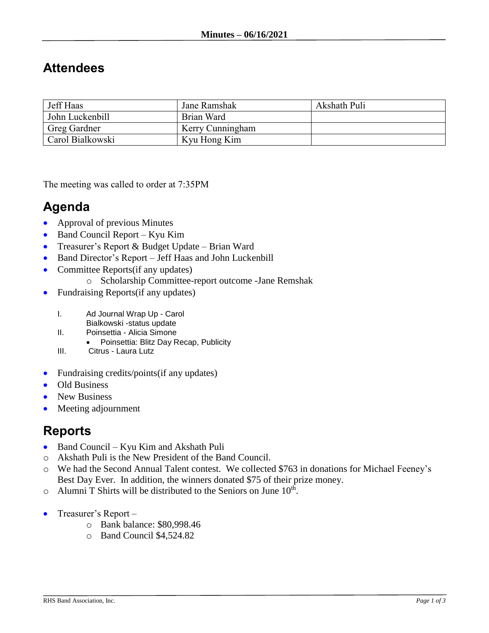## **Attendees**

| Jeff Haas        | Jane Ramshak     | Akshath Puli |
|------------------|------------------|--------------|
| John Luckenbill  | Brian Ward       |              |
| Greg Gardner     | Kerry Cunningham |              |
| Carol Bialkowski | Kyu Hong Kim     |              |

The meeting was called to order at 7:35PM

## **Agenda**

- Approval of previous Minutes
- Band Council Report Kyu Kim
- Treasurer's Report & Budget Update Brian Ward
- Band Director's Report Jeff Haas and John Luckenbill
- Committee Reports(if any updates)
	- o Scholarship Committee-report outcome -Jane Remshak
- Fundraising Reports(if any updates)
	- I. Ad Journal Wrap Up Carol
		- Bialkowski -status update
	- II. Poinsettia Alicia Simone
		- Poinsettia: Blitz Day Recap, Publicity
	- III. Citrus Laura Lutz
- Fundraising credits/points(if any updates)
- Old Business
- New Business
- Meeting adjournment

## **Reports**

- Band Council Kyu Kim and Akshath Puli
- o Akshath Puli is the New President of the Band Council.
- o We had the Second Annual Talent contest. We collected \$763 in donations for Michael Feeney's Best Day Ever. In addition, the winners donated \$75 of their prize money.
- $\circ$  Alumni T Shirts will be distributed to the Seniors on June 10<sup>th</sup>.
- Treasurer's Report  $$ 
	- o Bank balance: \$80,998.46
	- o Band Council \$4,524.82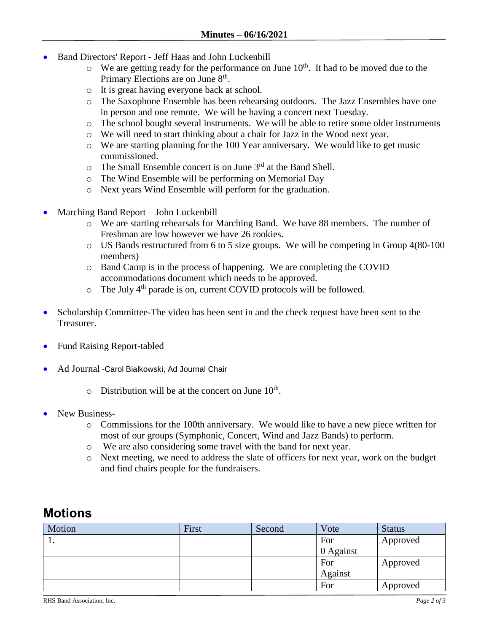- Band Directors' Report Jeff Haas and John Luckenbill
	- $\circ$  We are getting ready for the performance on June 10<sup>th</sup>. It had to be moved due to the Primary Elections are on June 8<sup>th</sup>.
	- o It is great having everyone back at school.
	- o The Saxophone Ensemble has been rehearsing outdoors. The Jazz Ensembles have one in person and one remote. We will be having a concert next Tuesday.
	- o The school bought several instruments. We will be able to retire some older instruments
	- o We will need to start thinking about a chair for Jazz in the Wood next year.
	- o We are starting planning for the 100 Year anniversary. We would like to get music commissioned.
	- $\circ$  The Small Ensemble concert is on June 3<sup>rd</sup> at the Band Shell.
	- o The Wind Ensemble will be performing on Memorial Day
	- o Next years Wind Ensemble will perform for the graduation.
- Marching Band Report John Luckenbill
	- o We are starting rehearsals for Marching Band. We have 88 members. The number of Freshman are low however we have 26 rookies.
	- o US Bands restructured from 6 to 5 size groups. We will be competing in Group 4(80-100 members)
	- o Band Camp is in the process of happening. We are completing the COVID accommodations document which needs to be approved.
	- $\circ$  The July 4<sup>th</sup> parade is on, current COVID protocols will be followed.
- Scholarship Committee-The video has been sent in and the check request have been sent to the Treasurer.
- Fund Raising Report-tabled
- Ad Journal -Carol Bialkowski, Ad Journal Chair
	- $\circ$  Distribution will be at the concert on June 10<sup>th</sup>.
- New Business
	- o Commissions for the 100th anniversary. We would like to have a new piece written for most of our groups (Symphonic, Concert, Wind and Jazz Bands) to perform.
	- o We are also considering some travel with the band for next year.
	- o Next meeting, we need to address the slate of officers for next year, work on the budget and find chairs people for the fundraisers.

## **Motions**

| Motion | First | Second | Vote      | <b>Status</b> |
|--------|-------|--------|-----------|---------------|
| . .    |       |        | For       | Approved      |
|        |       |        | 0 Against |               |
|        |       |        | For       | Approved      |
|        |       |        | Against   |               |
|        |       |        | For       | Approved      |